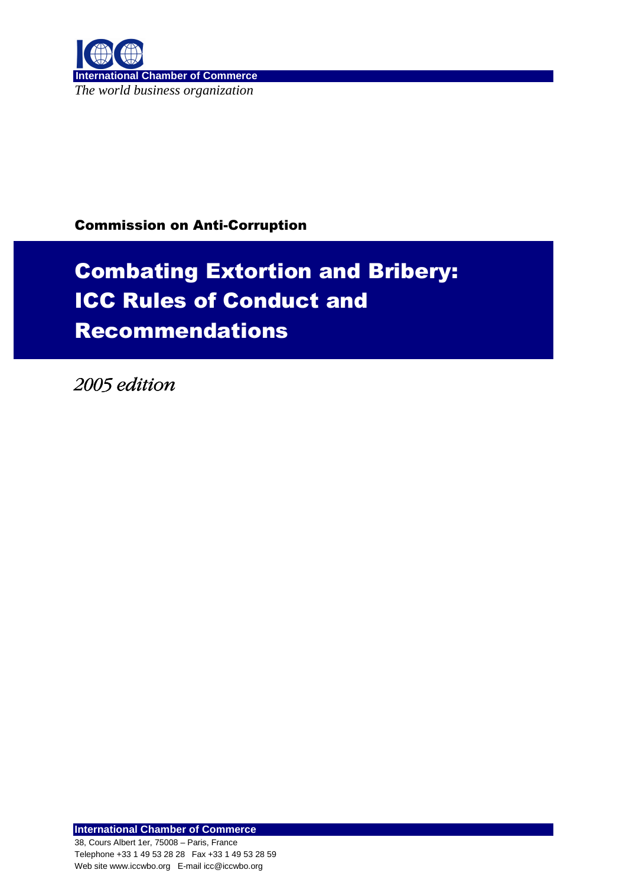

## Commission on Anti-Corruption

# Combating Extortion and Bribery: ICC Rules of Conduct and Recommendations

2005 edition 2005 edition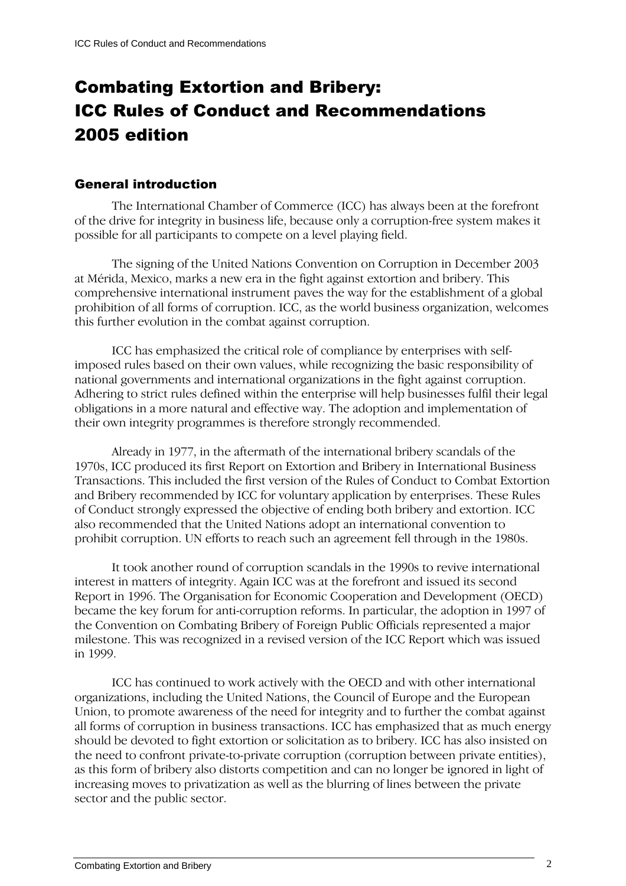## Combating Extortion and Bribery: ICC Rules of Conduct and Recommendations 2005 edition

#### General introduction

The International Chamber of Commerce (ICC) has always been at the forefront of the drive for integrity in business life, because only a corruption-free system makes it possible for all participants to compete on a level playing field.

The signing of the United Nations Convention on Corruption in December 2003 at Mérida, Mexico, marks a new era in the fight against extortion and bribery. This comprehensive international instrument paves the way for the establishment of a global prohibition of all forms of corruption. ICC, as the world business organization, welcomes this further evolution in the combat against corruption.

ICC has emphasized the critical role of compliance by enterprises with selfimposed rules based on their own values, while recognizing the basic responsibility of national governments and international organizations in the fight against corruption. Adhering to strict rules defined within the enterprise will help businesses fulfil their legal obligations in a more natural and effective way. The adoption and implementation of their own integrity programmes is therefore strongly recommended.

Already in 1977, in the aftermath of the international bribery scandals of the 1970s, ICC produced its first Report on Extortion and Bribery in International Business Transactions. This included the first version of the Rules of Conduct to Combat Extortion and Bribery recommended by ICC for voluntary application by enterprises. These Rules of Conduct strongly expressed the objective of ending both bribery and extortion. ICC also recommended that the United Nations adopt an international convention to prohibit corruption. UN efforts to reach such an agreement fell through in the 1980s.

It took another round of corruption scandals in the 1990s to revive international interest in matters of integrity. Again ICC was at the forefront and issued its second Report in 1996. The Organisation for Economic Cooperation and Development (OECD) became the key forum for anti-corruption reforms. In particular, the adoption in 1997 of the Convention on Combating Bribery of Foreign Public Officials represented a major milestone. This was recognized in a revised version of the ICC Report which was issued in 1999.

ICC has continued to work actively with the OECD and with other international organizations, including the United Nations, the Council of Europe and the European Union, to promote awareness of the need for integrity and to further the combat against all forms of corruption in business transactions. ICC has emphasized that as much energy should be devoted to fight extortion or solicitation as to bribery. ICC has also insisted on the need to confront private-to-private corruption (corruption between private entities), as this form of bribery also distorts competition and can no longer be ignored in light of increasing moves to privatization as well as the blurring of lines between the private sector and the public sector.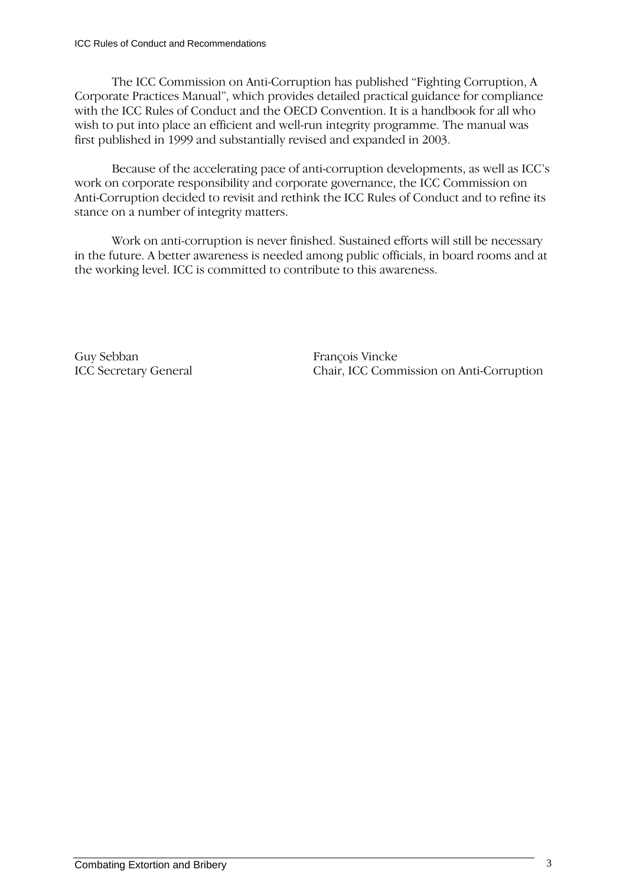The ICC Commission on Anti-Corruption has published "Fighting Corruption, A Corporate Practices Manual", which provides detailed practical guidance for compliance with the ICC Rules of Conduct and the OECD Convention. It is a handbook for all who wish to put into place an efficient and well-run integrity programme. The manual was first published in 1999 and substantially revised and expanded in 2003.

Because of the accelerating pace of anti-corruption developments, as well as ICC's work on corporate responsibility and corporate governance, the ICC Commission on Anti-Corruption decided to revisit and rethink the ICC Rules of Conduct and to refine its stance on a number of integrity matters.

Work on anti-corruption is never finished. Sustained efforts will still be necessary in the future. A better awareness is needed among public officials, in board rooms and at the working level. ICC is committed to contribute to this awareness.

Guy Sebban François Vincke

ICC Secretary General Chair, ICC Commission on Anti-Corruption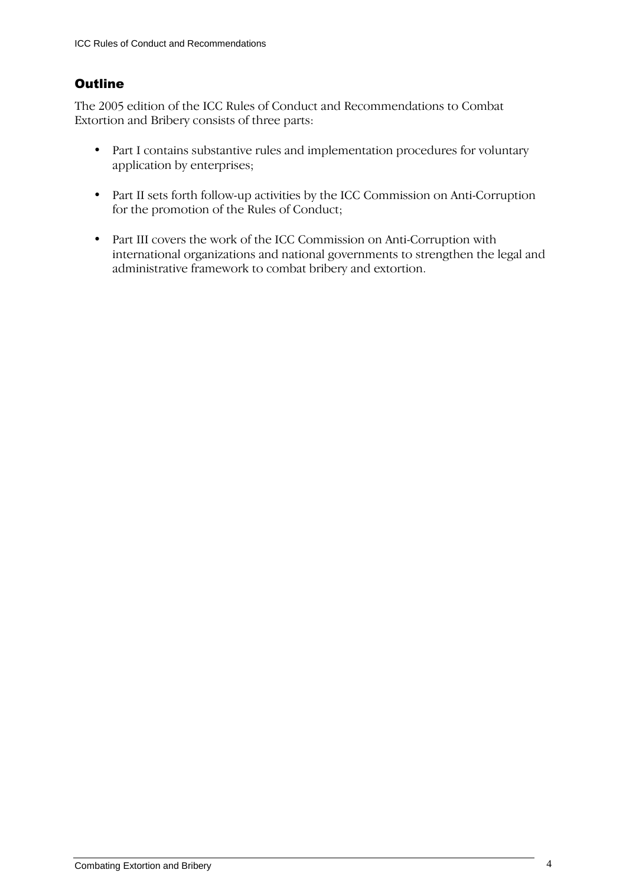## **Outline**

The 2005 edition of the ICC Rules of Conduct and Recommendations to Combat Extortion and Bribery consists of three parts:

- Part I contains substantive rules and implementation procedures for voluntary application by enterprises;
- Part II sets forth follow-up activities by the ICC Commission on Anti-Corruption for the promotion of the Rules of Conduct;
- Part III covers the work of the ICC Commission on Anti-Corruption with international organizations and national governments to strengthen the legal and administrative framework to combat bribery and extortion.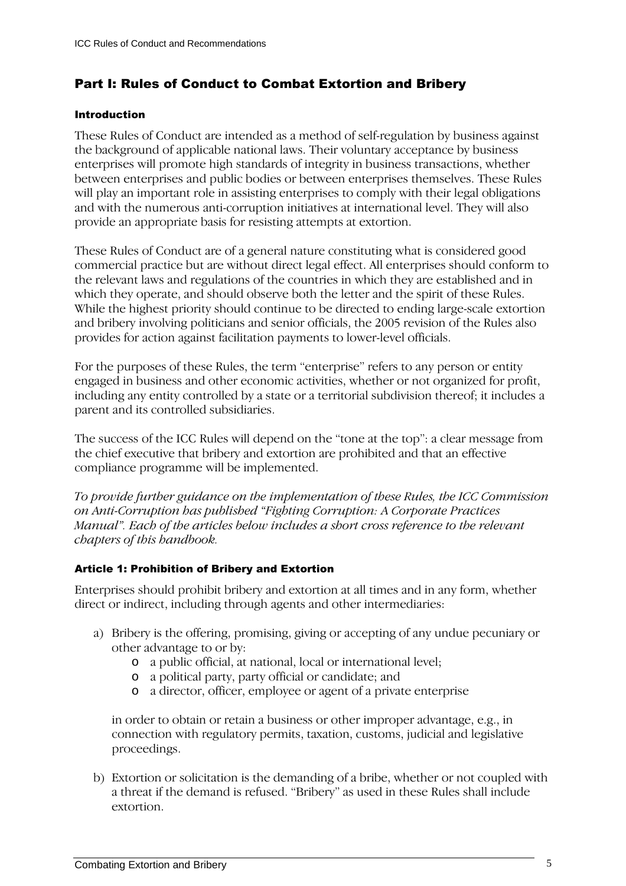## Part I: Rules of Conduct to Combat Extortion and Bribery

#### Introduction

These Rules of Conduct are intended as a method of self-regulation by business against the background of applicable national laws. Their voluntary acceptance by business enterprises will promote high standards of integrity in business transactions, whether between enterprises and public bodies or between enterprises themselves. These Rules will play an important role in assisting enterprises to comply with their legal obligations and with the numerous anti-corruption initiatives at international level. They will also provide an appropriate basis for resisting attempts at extortion.

These Rules of Conduct are of a general nature constituting what is considered good commercial practice but are without direct legal effect. All enterprises should conform to the relevant laws and regulations of the countries in which they are established and in which they operate, and should observe both the letter and the spirit of these Rules. While the highest priority should continue to be directed to ending large-scale extortion and bribery involving politicians and senior officials, the 2005 revision of the Rules also provides for action against facilitation payments to lower-level officials.

For the purposes of these Rules, the term "enterprise" refers to any person or entity engaged in business and other economic activities, whether or not organized for profit, including any entity controlled by a state or a territorial subdivision thereof; it includes a parent and its controlled subsidiaries.

The success of the ICC Rules will depend on the "tone at the top": a clear message from the chief executive that bribery and extortion are prohibited and that an effective compliance programme will be implemented.

To provide further guidance on the implementation of these Rules, the ICC Commission on Anti-Corruption has published "Fighting Corruption: A Corporate Practices Manual". Each of the articles below includes a short cross reference to the relevant chapters of this handbook.

#### Article 1: Prohibition of Bribery and Extortion

Enterprises should prohibit bribery and extortion at all times and in any form, whether direct or indirect, including through agents and other intermediaries:

- a) Bribery is the offering, promising, giving or accepting of any undue pecuniary or other advantage to or by:
	- o a public official, at national, local or international level;
	- o a political party, party official or candidate; and
	- o a director, officer, employee or agent of a private enterprise

in order to obtain or retain a business or other improper advantage, e.g., in connection with regulatory permits, taxation, customs, judicial and legislative proceedings.

b) Extortion or solicitation is the demanding of a bribe, whether or not coupled with a threat if the demand is refused. "Bribery" as used in these Rules shall include extortion.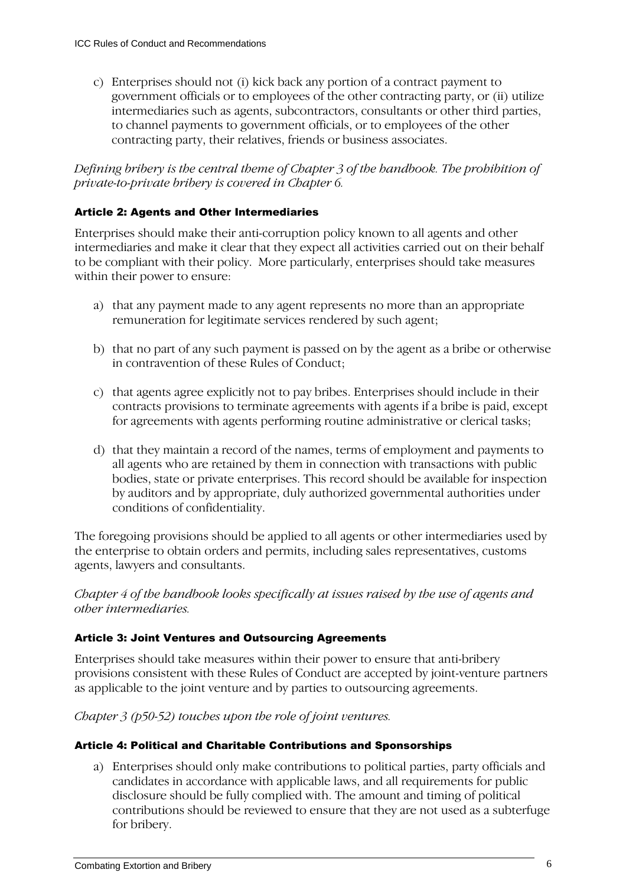c) Enterprises should not (i) kick back any portion of a contract payment to government officials or to employees of the other contracting party, or (ii) utilize intermediaries such as agents, subcontractors, consultants or other third parties, to channel payments to government officials, or to employees of the other contracting party, their relatives, friends or business associates.

#### Defining bribery is the central theme of Chapter 3 of the handbook. The prohibition of private-to-private bribery is covered in Chapter 6.

#### Article 2: Agents and Other Intermediaries

Enterprises should make their anti-corruption policy known to all agents and other intermediaries and make it clear that they expect all activities carried out on their behalf to be compliant with their policy. More particularly, enterprises should take measures within their power to ensure:

- a) that any payment made to any agent represents no more than an appropriate remuneration for legitimate services rendered by such agent;
- b) that no part of any such payment is passed on by the agent as a bribe or otherwise in contravention of these Rules of Conduct;
- c) that agents agree explicitly not to pay bribes. Enterprises should include in their contracts provisions to terminate agreements with agents if a bribe is paid, except for agreements with agents performing routine administrative or clerical tasks;
- d) that they maintain a record of the names, terms of employment and payments to all agents who are retained by them in connection with transactions with public bodies, state or private enterprises. This record should be available for inspection by auditors and by appropriate, duly authorized governmental authorities under conditions of confidentiality.

The foregoing provisions should be applied to all agents or other intermediaries used by the enterprise to obtain orders and permits, including sales representatives, customs agents, lawyers and consultants.

Chapter 4 of the handbook looks specifically at issues raised by the use of agents and other intermediaries.

#### Article 3: Joint Ventures and Outsourcing Agreements

Enterprises should take measures within their power to ensure that anti-bribery provisions consistent with these Rules of Conduct are accepted by joint-venture partners as applicable to the joint venture and by parties to outsourcing agreements.

Chapter 3 (p50-52) touches upon the role of joint ventures.

#### Article 4: Political and Charitable Contributions and Sponsorships

a) Enterprises should only make contributions to political parties, party officials and candidates in accordance with applicable laws, and all requirements for public disclosure should be fully complied with. The amount and timing of political contributions should be reviewed to ensure that they are not used as a subterfuge for bribery.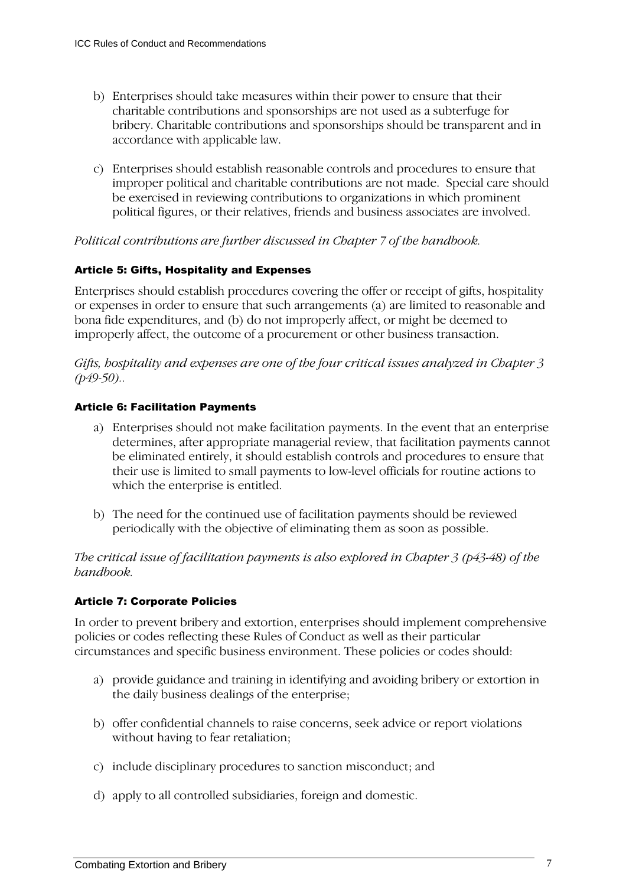- b) Enterprises should take measures within their power to ensure that their charitable contributions and sponsorships are not used as a subterfuge for bribery. Charitable contributions and sponsorships should be transparent and in accordance with applicable law.
- c) Enterprises should establish reasonable controls and procedures to ensure that improper political and charitable contributions are not made. Special care should be exercised in reviewing contributions to organizations in which prominent political figures, or their relatives, friends and business associates are involved.

#### Political contributions are further discussed in Chapter 7 of the handbook.

#### Article 5: Gifts, Hospitality and Expenses

Enterprises should establish procedures covering the offer or receipt of gifts, hospitality or expenses in order to ensure that such arrangements (a) are limited to reasonable and bona fide expenditures, and (b) do not improperly affect, or might be deemed to improperly affect, the outcome of a procurement or other business transaction.

Gifts, hospitality and expenses are one of the four critical issues analyzed in Chapter 3  $(p49-50)$ ..

#### Article 6: Facilitation Payments

- a) Enterprises should not make facilitation payments. In the event that an enterprise determines, after appropriate managerial review, that facilitation payments cannot be eliminated entirely, it should establish controls and procedures to ensure that their use is limited to small payments to low-level officials for routine actions to which the enterprise is entitled.
- b) The need for the continued use of facilitation payments should be reviewed periodically with the objective of eliminating them as soon as possible.

The critical issue of facilitation payments is also explored in Chapter 3 (p43-48) of the handbook.

#### Article 7: Corporate Policies

In order to prevent bribery and extortion, enterprises should implement comprehensive policies or codes reflecting these Rules of Conduct as well as their particular circumstances and specific business environment. These policies or codes should:

- a) provide guidance and training in identifying and avoiding bribery or extortion in the daily business dealings of the enterprise;
- b) offer confidential channels to raise concerns, seek advice or report violations without having to fear retaliation;
- c) include disciplinary procedures to sanction misconduct; and
- d) apply to all controlled subsidiaries, foreign and domestic.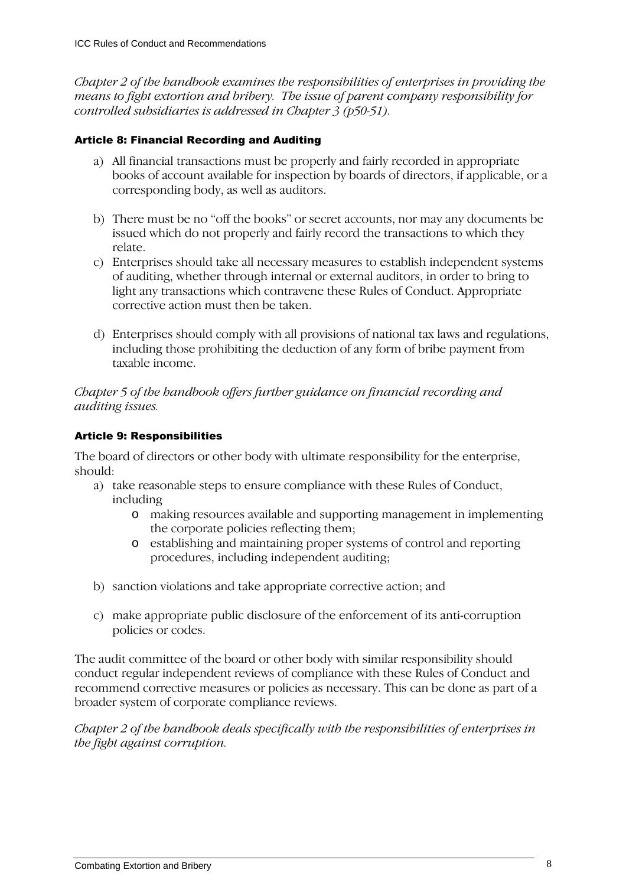Chapter 2 of the handbook examines the responsibilities of enterprises in providing the means to fight extortion and bribery. The issue of parent company responsibility for controlled subsidiaries is addressed in Chapter 3 (p50-51).

#### Article 8: Financial Recording and Auditing

- a) All financial transactions must be properly and fairly recorded in appropriate books of account available for inspection by boards of directors, if applicable, or a corresponding body, as well as auditors.
- b) There must be no "off the books" or secret accounts, nor may any documents be issued which do not properly and fairly record the transactions to which they relate.
- c) Enterprises should take all necessary measures to establish independent systems of auditing, whether through internal or external auditors, in order to bring to light any transactions which contravene these Rules of Conduct. Appropriate corrective action must then be taken.
- d) Enterprises should comply with all provisions of national tax laws and regulations, including those prohibiting the deduction of any form of bribe payment from taxable income.

Chapter 5 of the handbook offers further guidance on financial recording and auditing issues.

#### Article 9: Responsibilities

The board of directors or other body with ultimate responsibility for the enterprise, should:

- a) take reasonable steps to ensure compliance with these Rules of Conduct, including
	- o making resources available and supporting management in implementing the corporate policies reflecting them;
	- o establishing and maintaining proper systems of control and reporting procedures, including independent auditing;
- b) sanction violations and take appropriate corrective action; and
- c) make appropriate public disclosure of the enforcement of its anti-corruption policies or codes.

The audit committee of the board or other body with similar responsibility should conduct regular independent reviews of compliance with these Rules of Conduct and recommend corrective measures or policies as necessary. This can be done as part of a broader system of corporate compliance reviews.

Chapter 2 of the handbook deals specifically with the responsibilities of enterprises in the fight against corruption.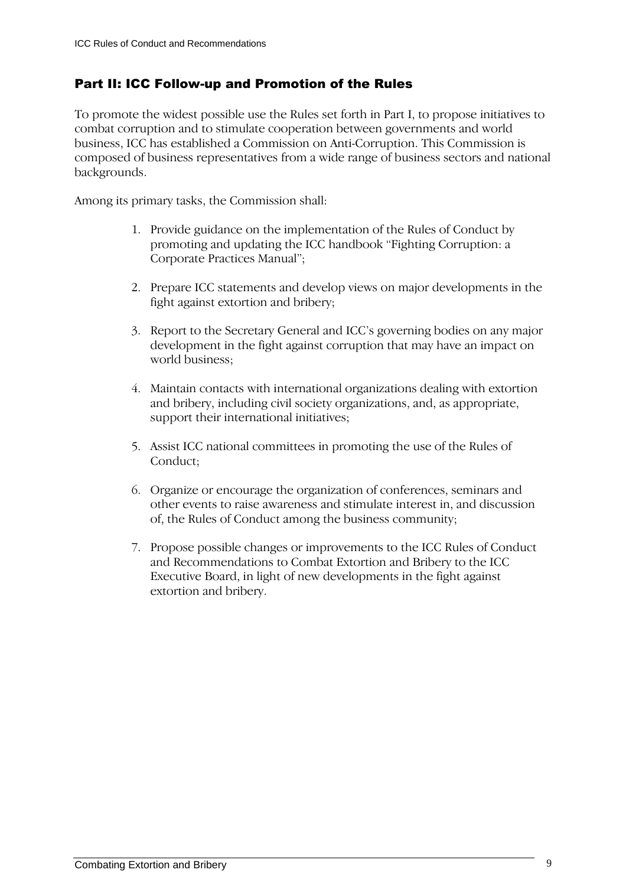## Part II: ICC Follow-up and Promotion of the Rules

To promote the widest possible use the Rules set forth in Part I, to propose initiatives to combat corruption and to stimulate cooperation between governments and world business, ICC has established a Commission on Anti-Corruption. This Commission is composed of business representatives from a wide range of business sectors and national backgrounds.

Among its primary tasks, the Commission shall:

- 1. Provide guidance on the implementation of the Rules of Conduct by promoting and updating the ICC handbook "Fighting Corruption: a Corporate Practices Manual";
- 2. Prepare ICC statements and develop views on major developments in the fight against extortion and bribery;
- 3. Report to the Secretary General and ICC's governing bodies on any major development in the fight against corruption that may have an impact on world business;
- 4. Maintain contacts with international organizations dealing with extortion and bribery, including civil society organizations, and, as appropriate, support their international initiatives;
- 5. Assist ICC national committees in promoting the use of the Rules of Conduct;
- 6. Organize or encourage the organization of conferences, seminars and other events to raise awareness and stimulate interest in, and discussion of, the Rules of Conduct among the business community;
- 7. Propose possible changes or improvements to the ICC Rules of Conduct and Recommendations to Combat Extortion and Bribery to the ICC Executive Board, in light of new developments in the fight against extortion and bribery.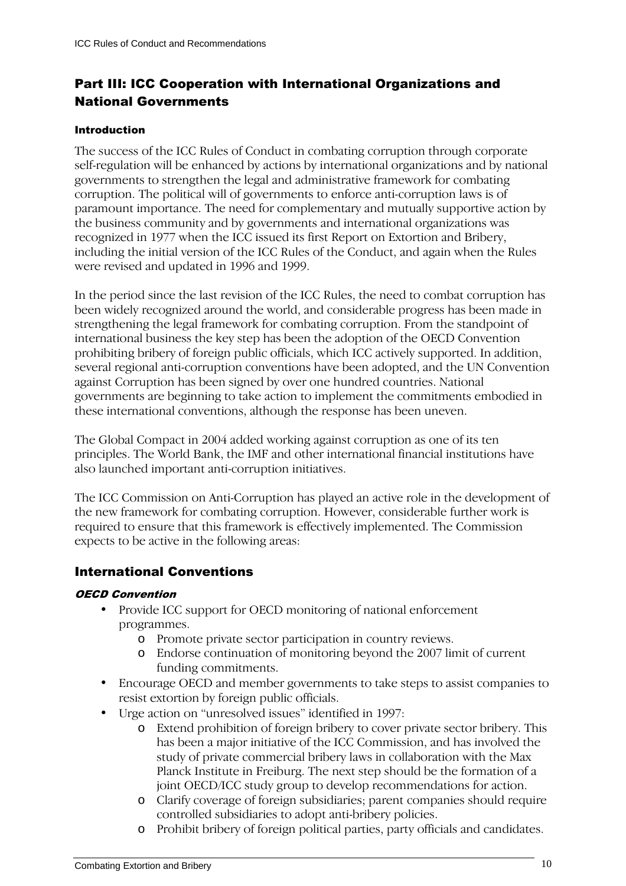## Part III: ICC Cooperation with International Organizations and National Governments

#### Introduction

The success of the ICC Rules of Conduct in combating corruption through corporate self-regulation will be enhanced by actions by international organizations and by national governments to strengthen the legal and administrative framework for combating corruption. The political will of governments to enforce anti-corruption laws is of paramount importance. The need for complementary and mutually supportive action by the business community and by governments and international organizations was recognized in 1977 when the ICC issued its first Report on Extortion and Bribery, including the initial version of the ICC Rules of the Conduct, and again when the Rules were revised and updated in 1996 and 1999.

In the period since the last revision of the ICC Rules, the need to combat corruption has been widely recognized around the world, and considerable progress has been made in strengthening the legal framework for combating corruption. From the standpoint of international business the key step has been the adoption of the OECD Convention prohibiting bribery of foreign public officials, which ICC actively supported. In addition, several regional anti-corruption conventions have been adopted, and the UN Convention against Corruption has been signed by over one hundred countries. National governments are beginning to take action to implement the commitments embodied in these international conventions, although the response has been uneven.

The Global Compact in 2004 added working against corruption as one of its ten principles. The World Bank, the IMF and other international financial institutions have also launched important anti-corruption initiatives.

The ICC Commission on Anti-Corruption has played an active role in the development of the new framework for combating corruption. However, considerable further work is required to ensure that this framework is effectively implemented. The Commission expects to be active in the following areas:

### International Conventions

#### OECD Convention

- Provide ICC support for OECD monitoring of national enforcement programmes.
	- o Promote private sector participation in country reviews.
	- o Endorse continuation of monitoring beyond the 2007 limit of current funding commitments.
- Encourage OECD and member governments to take steps to assist companies to resist extortion by foreign public officials.
- Urge action on "unresolved issues" identified in 1997:
	- o Extend prohibition of foreign bribery to cover private sector bribery. This has been a major initiative of the ICC Commission, and has involved the study of private commercial bribery laws in collaboration with the Max Planck Institute in Freiburg. The next step should be the formation of a joint OECD/ICC study group to develop recommendations for action.
	- o Clarify coverage of foreign subsidiaries; parent companies should require controlled subsidiaries to adopt anti-bribery policies.
	- o Prohibit bribery of foreign political parties, party officials and candidates.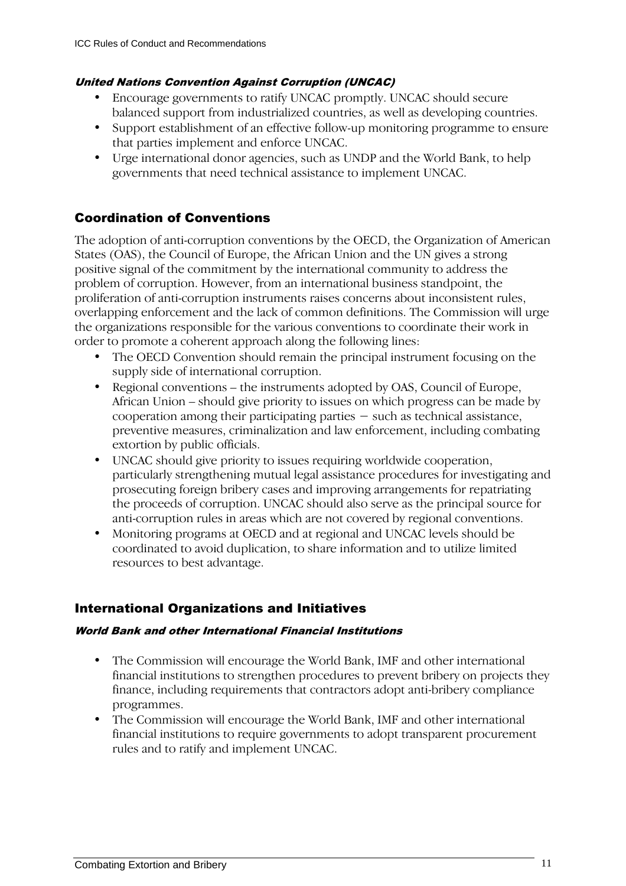#### United Nations Convention Against Corruption (UNCAC)

- Encourage governments to ratify UNCAC promptly. UNCAC should secure balanced support from industrialized countries, as well as developing countries.
- Support establishment of an effective follow-up monitoring programme to ensure that parties implement and enforce UNCAC.
- Urge international donor agencies, such as UNDP and the World Bank, to help governments that need technical assistance to implement UNCAC.

## Coordination of Conventions

The adoption of anti-corruption conventions by the OECD, the Organization of American States (OAS), the Council of Europe, the African Union and the UN gives a strong positive signal of the commitment by the international community to address the problem of corruption. However, from an international business standpoint, the proliferation of anti-corruption instruments raises concerns about inconsistent rules, overlapping enforcement and the lack of common definitions. The Commission will urge the organizations responsible for the various conventions to coordinate their work in order to promote a coherent approach along the following lines:

- The OECD Convention should remain the principal instrument focusing on the supply side of international corruption.
- Regional conventions the instruments adopted by OAS, Council of Europe, African Union – should give priority to issues on which progress can be made by cooperation among their participating parties − such as technical assistance, preventive measures, criminalization and law enforcement, including combating extortion by public officials.
- UNCAC should give priority to issues requiring worldwide cooperation, particularly strengthening mutual legal assistance procedures for investigating and prosecuting foreign bribery cases and improving arrangements for repatriating the proceeds of corruption. UNCAC should also serve as the principal source for anti-corruption rules in areas which are not covered by regional conventions.
- Monitoring programs at OECD and at regional and UNCAC levels should be coordinated to avoid duplication, to share information and to utilize limited resources to best advantage.

## International Organizations and Initiatives

#### World Bank and other International Financial Institutions

- The Commission will encourage the World Bank, IMF and other international financial institutions to strengthen procedures to prevent bribery on projects they finance, including requirements that contractors adopt anti-bribery compliance programmes.
- The Commission will encourage the World Bank, IMF and other international financial institutions to require governments to adopt transparent procurement rules and to ratify and implement UNCAC.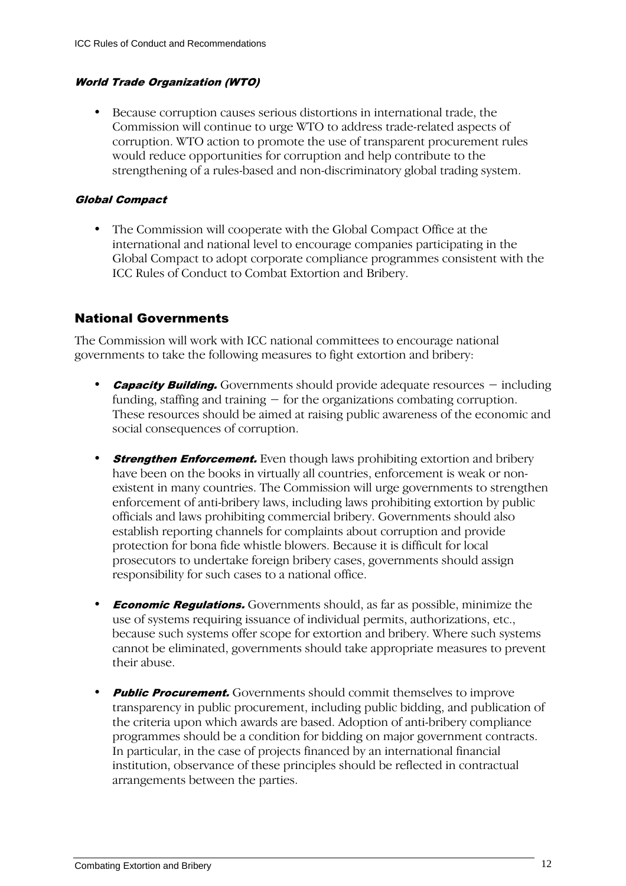#### World Trade Organization (WTO)

• Because corruption causes serious distortions in international trade, the Commission will continue to urge WTO to address trade-related aspects of corruption. WTO action to promote the use of transparent procurement rules would reduce opportunities for corruption and help contribute to the strengthening of a rules-based and non-discriminatory global trading system.

#### Global Compact

• The Commission will cooperate with the Global Compact Office at the international and national level to encourage companies participating in the Global Compact to adopt corporate compliance programmes consistent with the ICC Rules of Conduct to Combat Extortion and Bribery.

## National Governments

The Commission will work with ICC national committees to encourage national governments to take the following measures to fight extortion and bribery:

- **Capacity Building.** Governments should provide adequate resources including funding, staffing and training − for the organizations combating corruption. These resources should be aimed at raising public awareness of the economic and social consequences of corruption.
- **Strengthen Enforcement.** Even though laws prohibiting extortion and bribery have been on the books in virtually all countries, enforcement is weak or nonexistent in many countries. The Commission will urge governments to strengthen enforcement of anti-bribery laws, including laws prohibiting extortion by public officials and laws prohibiting commercial bribery. Governments should also establish reporting channels for complaints about corruption and provide protection for bona fide whistle blowers. Because it is difficult for local prosecutors to undertake foreign bribery cases, governments should assign responsibility for such cases to a national office.
- **Economic Regulations.** Governments should, as far as possible, minimize the use of systems requiring issuance of individual permits, authorizations, etc., because such systems offer scope for extortion and bribery. Where such systems cannot be eliminated, governments should take appropriate measures to prevent their abuse.
- **Public Procurement.** Governments should commit themselves to improve transparency in public procurement, including public bidding, and publication of the criteria upon which awards are based. Adoption of anti-bribery compliance programmes should be a condition for bidding on major government contracts. In particular, in the case of projects financed by an international financial institution, observance of these principles should be reflected in contractual arrangements between the parties.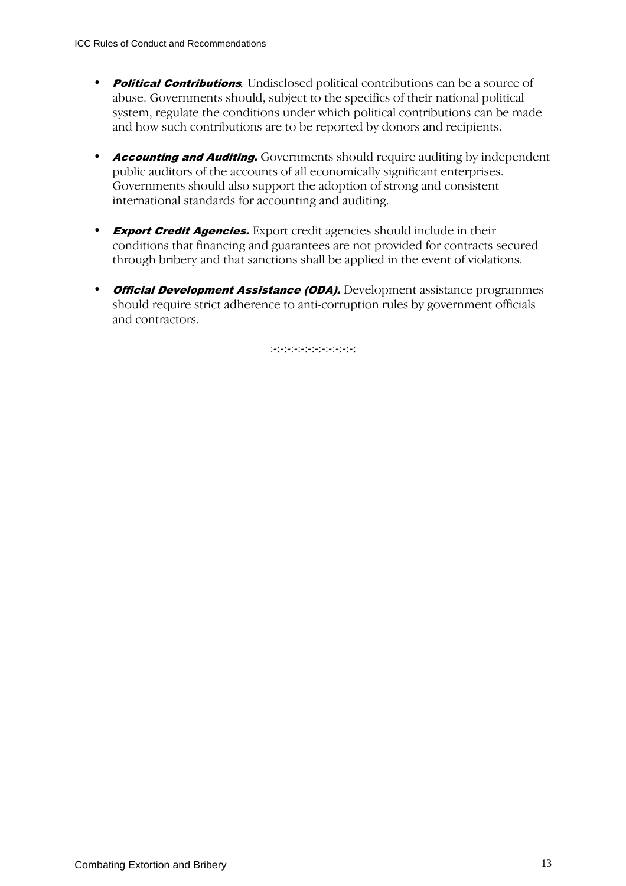- **Political Contributions.** Undisclosed political contributions can be a source of abuse. Governments should, subject to the specifics of their national political system, regulate the conditions under which political contributions can be made and how such contributions are to be reported by donors and recipients.
- **Accounting and Auditing.** Governments should require auditing by independent public auditors of the accounts of all economically significant enterprises. Governments should also support the adoption of strong and consistent international standards for accounting and auditing.
- **Export Credit Agencies.** Export credit agencies should include in their conditions that financing and guarantees are not provided for contracts secured through bribery and that sanctions shall be applied in the event of violations.
- **Official Development Assistance (ODA).** Development assistance programmes should require strict adherence to anti-corruption rules by government officials and contractors.

:-:-:-:-:-:-:-:-:-:-:-:-: